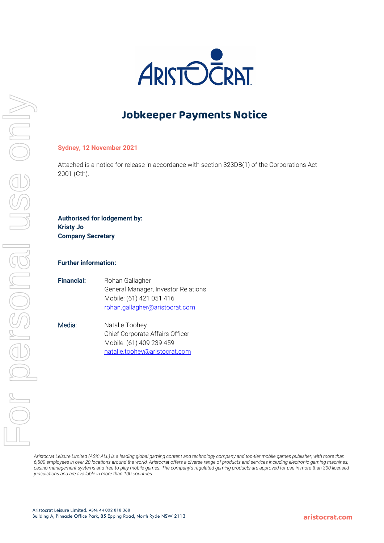

# **Jobkeeper Payments Notice**

### **Sydney, 12 November 2021**

Attached is a notice for release in accordance with section 323DB(1) of the Corporations Act 2001 (Cth).

**Authorised for lodgement by: Kristy Jo Company Secretary**

#### **Further information:**

| <b>Financial:</b> | Rohan Gallagher                     |
|-------------------|-------------------------------------|
|                   | General Manager, Investor Relations |
|                   | Mobile: (61) 421 051 416            |
|                   | rohan.gallagher@aristocrat.com      |

Media: Natalie Toohey Chief Corporate Affairs Officer Mobile: (61) 409 239 459 natalie.toohey@aristocrat.com

*Aristocrat Leisure Limited (ASX: ALL) is a leading global gaming content and technology company and top-tier mobile games publisher, with more than 6,500 employees in over 20 locations around the world. Aristocrat offers a diverse range of products and services including electronic gaming machines,*  casino management systems and free-to-play mobile games. The company's regulated gaming products are approved for use in more than 300 licensed *jurisdictions and are available in more than 100 countries.*